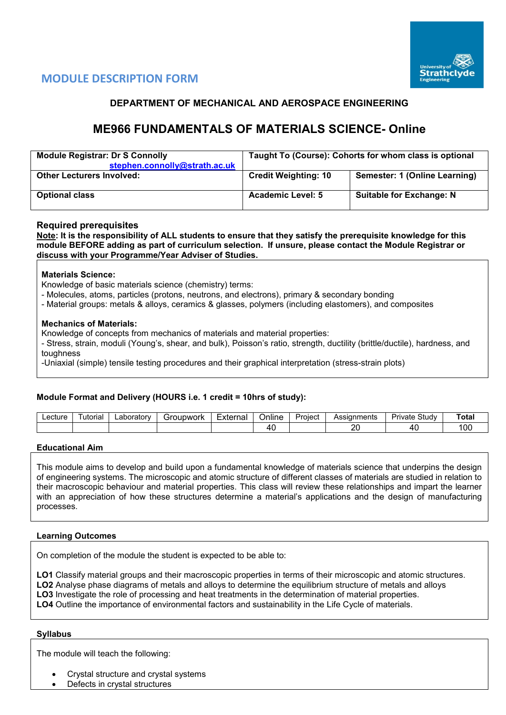



### **DEPARTMENT OF MECHANICAL AND AEROSPACE ENGINEERING**

# **ME966 FUNDAMENTALS OF MATERIALS SCIENCE- Online**

| <b>Module Registrar: Dr S Connolly</b><br>stephen.connolly@strath.ac.uk | Taught To (Course): Cohorts for whom class is optional |                                 |  |  |  |  |
|-------------------------------------------------------------------------|--------------------------------------------------------|---------------------------------|--|--|--|--|
| <b>Other Lecturers Involved:</b>                                        | <b>Credit Weighting: 10</b>                            | Semester: 1 (Online Learning)   |  |  |  |  |
| <b>Optional class</b>                                                   | <b>Academic Level: 5</b>                               | <b>Suitable for Exchange: N</b> |  |  |  |  |

### **Required prerequisites**

**Note: It is the responsibility of ALL students to ensure that they satisfy the prerequisite knowledge for this module BEFORE adding as part of curriculum selection. If unsure, please contact the Module Registrar or discuss with your Programme/Year Adviser of Studies.**

### **Materials Science:**

Knowledge of basic materials science (chemistry) terms:

- Molecules, atoms, particles (protons, neutrons, and electrons), primary & secondary bonding
- Material groups: metals & alloys, ceramics & glasses, polymers (including elastomers), and composites

### **Mechanics of Materials:**

Knowledge of concepts from mechanics of materials and material properties:

- Stress, strain, moduli (Young's, shear, and bulk), Poisson's ratio, strength, ductility (brittle/ductile), hardness, and toughness

-Uniaxial (simple) tensile testing procedures and their graphical interpretation (stress-strain plots)

### **Module Format and Delivery (HOURS i.e. 1 credit = 10hrs of study):**

| ∟ecture | utorial | ∟aboratorv | Foubwork<br>- 11 | _<br>Externa | Online | Project<br>וטוסטו | Assignments    | $\sim$<br>Study<br>Private . | ™ota. |
|---------|---------|------------|------------------|--------------|--------|-------------------|----------------|------------------------------|-------|
|         |         |            |                  |              | 71     |                   | ററ<br><u>.</u> |                              | 00    |

#### **Educational Aim**

This module aims to develop and build upon a fundamental knowledge of materials science that underpins the design of engineering systems. The microscopic and atomic structure of different classes of materials are studied in relation to their macroscopic behaviour and material properties. This class will review these relationships and impart the learner with an appreciation of how these structures determine a material's applications and the design of manufacturing processes.

### **Learning Outcomes**

On completion of the module the student is expected to be able to:

**LO1** Classify material groups and their macroscopic properties in terms of their microscopic and atomic structures. **LO2** Analyse phase diagrams of metals and alloys to determine the equilibrium structure of metals and alloys **LO3** Investigate the role of processing and heat treatments in the determination of material properties. **LO4** Outline the importance of environmental factors and sustainability in the Life Cycle of materials.

#### **Syllabus**

The module will teach the following:

- Crystal structure and crystal systems
- Defects in crystal structures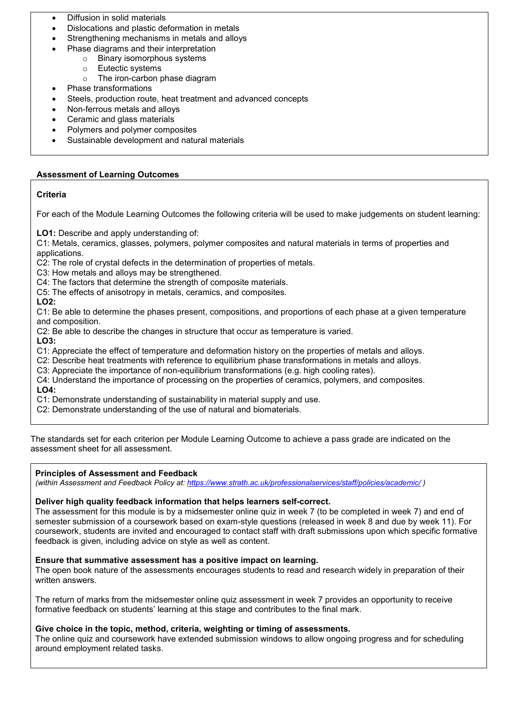- Diffusion in solid materials
- Dislocations and plastic deformation in metals
- Strengthening mechanisms in metals and alloys
- Phase diagrams and their interpretation
	- o Binary isomorphous systems
	- o Eutectic systems
	- o The iron-carbon phase diagram
- Phase transformations
- Steels, production route, heat treatment and advanced concepts
- Non-ferrous metals and alloys
- Ceramic and glass materials
- Polymers and polymer composites
- Sustainable development and natural materials

## **Assessment of Learning Outcomes**

## **Criteria**

For each of the Module Learning Outcomes the following criteria will be used to make judgements on student learning:

**LO1:** Describe and apply understanding of:

C1: Metals, ceramics, glasses, polymers, polymer composites and natural materials in terms of properties and applications.

C2: The role of crystal defects in the determination of properties of metals.

- C3: How metals and alloys may be strengthened.
- C4: The factors that determine the strength of composite materials.
- C5: The effects of anisotropy in metals, ceramics, and composites.

### **LO2:**

C1: Be able to determine the phases present, compositions, and proportions of each phase at a given temperature and composition.

C2: Be able to describe the changes in structure that occur as temperature is varied.

**LO3:**

C1: Appreciate the effect of temperature and deformation history on the properties of metals and alloys.

C2: Describe heat treatments with reference to equilibrium phase transformations in metals and alloys.

C3: Appreciate the importance of non-equilibrium transformations (e.g. high cooling rates).

C4: Understand the importance of processing on the properties of ceramics, polymers, and composites. **LO4:**

C1: Demonstrate understanding of sustainability in material supply and use.

C2: Demonstrate understanding of the use of natural and biomaterials.

The standards set for each criterion per Module Learning Outcome to achieve a pass grade are indicated on the assessment sheet for all assessment.

## **Principles of Assessment and Feedback**

*(within Assessment and Feedback Policy at: <https://www.strath.ac.uk/professionalservices/staff/policies/academic/> )*

## **Deliver high quality feedback information that helps learners self-correct.**

The assessment for this module is by a midsemester online quiz in week 7 (to be completed in week 7) and end of semester submission of a coursework based on exam-style questions (released in week 8 and due by week 11). For coursework, students are invited and encouraged to contact staff with draft submissions upon which specific formative feedback is given, including advice on style as well as content.

## **Ensure that summative assessment has a positive impact on learning.**

The open book nature of the assessments encourages students to read and research widely in preparation of their written answers.

The return of marks from the midsemester online quiz assessment in week 7 provides an opportunity to receive formative feedback on students' learning at this stage and contributes to the final mark.

## **Give choice in the topic, method, criteria, weighting or timing of assessments.**

The online quiz and coursework have extended submission windows to allow ongoing progress and for scheduling around employment related tasks.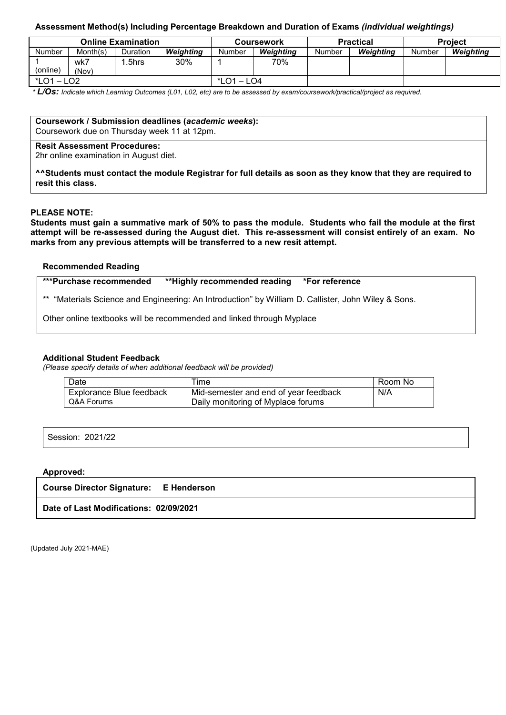### **Assessment Method(s) Including Percentage Breakdown and Duration of Exams** *(individual weightings)*

|                     |              | <b>Online Examination</b> |           |               | Coursework |        | <b>Practical</b> | <b>Project</b> |           |  |
|---------------------|--------------|---------------------------|-----------|---------------|------------|--------|------------------|----------------|-----------|--|
| <b>Number</b>       | Month(s)     | Duration                  | Weiahtina | Number        | Weiahtina  | Number | Weiahtina        | Number         | Weighting |  |
| (online)            | wk7<br>(Nov) | .5hrs                     | 30%       |               | 70%        |        |                  |                |           |  |
| *LO1<br>LO2<br>$-1$ |              |                           |           | $*$ LO1 – LO4 |            |        |                  |                |           |  |

*\* L/Os: Indicate which Learning Outcomes (L01, L02, etc) are to be assessed by exam/coursework/practical/project as required.*

**Coursework / Submission deadlines (***academic weeks***):**

Coursework due on Thursday week 11 at 12pm.

### **Resit Assessment Procedures:**

2hr online examination in August diet.

**^^Students must contact the module Registrar for full details as soon as they know that they are required to resit this class.**

### **PLEASE NOTE:**

**Students must gain a summative mark of 50% to pass the module. Students who fail the module at the first attempt will be re-assessed during the August diet. This re-assessment will consist entirely of an exam. No marks from any previous attempts will be transferred to a new resit attempt.**

### **Recommended Reading**

**\*\*\*Purchase recommended \*\*Highly recommended reading \*For reference** 

\*\* "Materials Science and Engineering: An Introduction" by William D. Callister, John Wiley & Sons.

Other online textbooks will be recommended and linked through Myplace

#### **Additional Student Feedback**

*(Please specify details of when additional feedback will be provided)*

| Date                     | ime                                   | Room No |
|--------------------------|---------------------------------------|---------|
| Explorance Blue feedback | Mid-semester and end of year feedback | N/A     |
| Q&A Forums               | Daily monitoring of Myplace forums    |         |

Session: 2021/22

#### **Approved:**

**Course Director Signature: E Henderson**

**Date of Last Modifications: 02/09/2021**

(Updated July 2021-MAE)